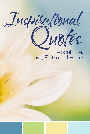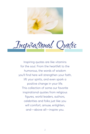

Inspirational Quotes

Inspiring quotes are like vitamins for the soul. From the heartfelt to the humorous, the words of wisdom you'll find here will strengthen your faith, lift your spirits, and even spark a positive change in your life. This collection of some our favorite inspirational quotes from religious figures, world leaders, authors, celebrities and folks just like you will comfort, amuse, enlighten, and—above all—inspire you.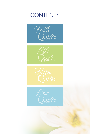## **CONTENTS**







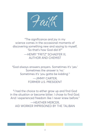<span id="page-3-0"></span>Faith

"The significance and joy in my science comes in the occasional moments of discovering something new and saying to myself, 'So that's how God did it!'" —HENRY "FRITZ" SCHAEFER III, AUTHOR AND CHEMIST

"God always answers prayers. Sometimes it's 'yes.' Sometimes the answer is 'no.' Sometimes it's 'you gotta be kidding'." —JIMMY CARTER, FORMER U.S. PRESIDENT

"I had the choice to either grow up and find God in the situation or become bitter. I chose to find God. And I experienced freedom like I never knew before."

—HEATHER MERCER, AID WORKER IMPRISONED BY THE TALIBAN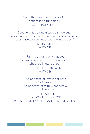"Faith that does not translate into actions is no faith at all."  $-$ THE DALAI LAMA

"Deep faith is paranoia turned inside out…. It allows us to trust ourselves and others even if we and they have proven untrustworthy in the past."

> —THOMAS MOORE, AUTHOR

"Faith is building on what you know is here so that you can reach what you know is there." —CULLEN HIGHTOWER, AUTHOR

"The opposite of love is not hate, it's indifference… The opposite of faith is not heresy, it's indifference."

—ELIE WIESEL, HOLOCAUST SURVIVOR, AUTHOR AND NOBEL PEACE PRIZE RECIPIENT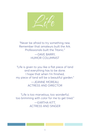<span id="page-5-0"></span>

"Never be afraid to try something new. Remember that amateurs built the Ark. Professionals built the Titanic." —DAVE BARRY, HUMOR COLUMNIST

"Life is given to you like a flat piece of land and everything has to be done. I hope that when I'm finished, my piece of land will be a beautiful garden." —JEANNE MOREAU, ACTRESS AND DIRECTOR

"Life is too marvelous, too wonderful, too brimming with color for me to get tired."

> —EARTHA KITT, ACTRESS AND SINGER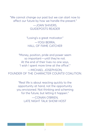"We cannot change our past but we can start now to affect our future by how we handle the present." —JOAN SHIVERS, GUIDEPOSTS READER

> "Losing's a great motivator." —YOGI BERRA, HALL OF FAME CATCHER

"Money, position, pride and power seem so important—until they're not. At the end of their lives no one says, 'I wish I spent more time at the office'." —MICHAEL JOSEPHSON, FOUNDER OF THE CHARACTER COUNTS! COALITION.

> "Real life is about reacting quickly to the opportunity at hand, not the opportunity you envisioned. Not thinking and scheming for the future, but letting it happen." —CONAN O'BRIEN,

LATE NIGHT TALK SHOW HOST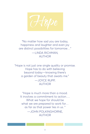<span id="page-7-0"></span>

"No matter how sad you are today, happiness and laughter and even joy are distinct possibilities for tomorrow…" —LINDA RICHMAN, AUTHOR

"Hope is not just one single quality or promise. Hope has to do with believing beyond today—knowing there's a garden of beauty that awaits me." —JOYCE RUPP, AUTHOR

"Hope is much more than a mood. It involves a commitment to action…. What we hope for should be what we are prepared to work for… as far as that power lies in us. " —JOHN POLKINGHORNE, AUTHOR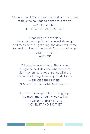"Hope is the ability to hear the music of the future; faith is the courage to dance to it today." —PETER KUZMIC, THEOLOGIAN AND AUTHOR

"Hope begins in the dark, the stubborn hope that if you just show up and try to do the right thing, the dawn will come. You wait and watch and work: You don't give up." —ANNE LAMOTT,

## AUTHOR

"All people have is hope. That's what brings the next day and whatever that day may bring. A hope grounded in the real world of living, friendship, work, family." —BRUCE SPRINGSTEEN, MUSICIAN, SINGER AND SONGWRITER

"Cynicism is irresponsible. Having hope is a much more healthy way to live. —BARBARA KINGSOLVER, NOVELIST AND ESSAYIST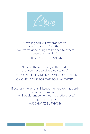<span id="page-9-0"></span>

"Love is good will towards others. Love is concern for others. Love wants good things to happen to others, even our enemies." —REV. RICHARD TAYLOR

"Love is the only thing in the world that you have to give away to get." —JACK CANFIELD AND MARK VICTOR HANSEN, CHICKEN SOUP FOR THE SOUL AUTHORS

"If you ask me what still keeps me here on this earth, what keeps me alive, then I would answer without hesitation: love." —IMRE KERTÉSZ, AUSCHWITZ SURVIVOR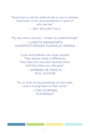"God loves us not for what we do or say or achieve. God loves us for, and sometimes in spite of, who we are."

— REV. WILLIAM TULLY

"My day was a success. I made my husband laugh." —LORETTA WADSWORTH, GUIDEPOSTS READER, PLAINVILLE, INDIANA

> "Love and kindness are never wasted. They always make a difference. They bless the one who receives them, and they bless you, the giver." —BARBARA DE ANGELIS, PH.D., AUTHOR

"It's no trick loving somebody at their best. Love is loving them at their worst." —TOM STOPPARD, PLAYWRIGHT